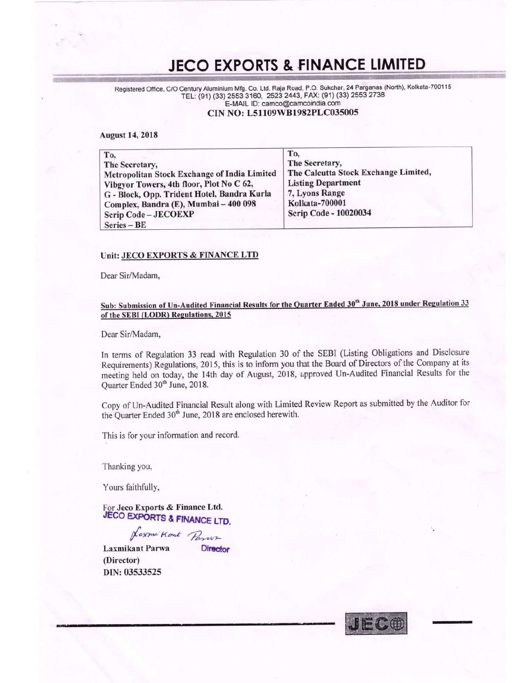### **JECO EXPORTS & FINANCE LIMITED**

Registered Office, C/O Century Aluminium Mfg. Co. Ltd. Raja Road, P.O. Sukchar, 24 Parganas (North), Kolkata-700115 TEL: (91) (33) 2553 3160, 2523 2443, FAX: (91) (33) 2553 2738 E-MAIL ID: camco@camcoindia.com

#### CIN NO: L51109WB1982PLC035005

#### **August 14, 2018**

| To.                                          | To.                                  |
|----------------------------------------------|--------------------------------------|
| The Secretary,                               | The Secretary,                       |
| Metropolitan Stock Exchange of India Limited | The Calcutta Stock Exchange Limited, |
| Vibgyor Towers, 4th floor, Plot No C 62,     | <b>Listing Department</b>            |
| G - Block, Opp. Trident Hotel, Bandra Kurla  | 7, Lyons Range                       |
| Complex, Bandra (E), Mumbai - 400 098        | Kolkata-700001                       |
| Scrip Code - JECOEXP                         | <b>Scrip Code - 10020034</b>         |
| $Series - BE$                                |                                      |

#### Unit: JECO EXPORTS & FINANCE LTD

Dear Sir/Madam,

#### Sub: Submission of Un-Audited Financial Results for the Quarter Ended 30<sup>th</sup> June, 2018 under Regulation 33 of the SEBI (LODR) Regulations, 2015

Dear Sir/Madam,

In terms of Regulation 33 read with Regulation 30 of the SEBI (Listing Obligations and Disclosure Requirements) Regulations, 2015, this is to inform you that the Board of Directors of the Company at its meeting held on today, the 14th day of August, 2018, approved Un-Audited Financial Results for the Quarter Ended 30<sup>th</sup> June, 2018.

Copy of Un-Audited Financial Result along with Limited Review Report as submitted by the Auditor for the Quarter Ended 30<sup>th</sup> June, 2018 are enclosed herewith.

This is for your information and record.

Thanking you,

Yours faithfully,

For Jeco Exports & Finance Ltd. JECO EXPORTS & FINANCE LTD.

Kaxmi Kont Parur

**Director** 

**Laxmikant Parwa** (Director) DIN: 03533525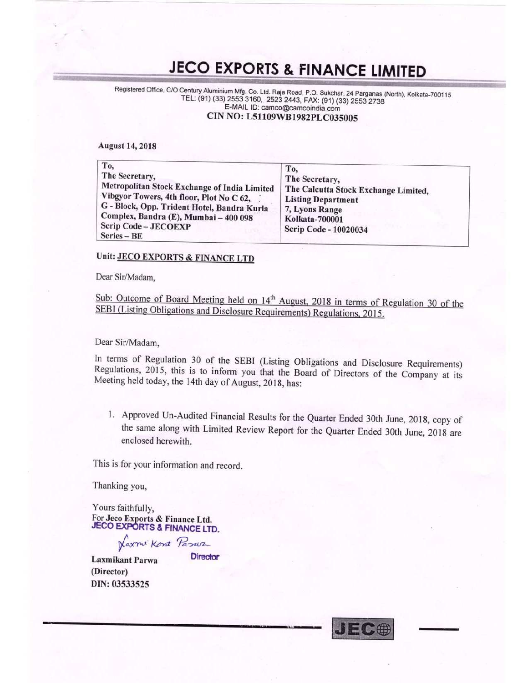# JECO EXPORTS & FINANCE LIMITED<br>C/O Century Aluminium Mfg. Co. Ltd. Raja Road, P.O. Sukchar, 24 Parganas (North), Kolkata<br>TEL: (91) (33) 2553 3160, 2523 2443, FAX: (91) (33) 2553 2738

Registered Office, C/O Century Aluminium Mfg. Co. Ltd. Raja Road, P.O. Sukchar, 24 Parganas (North), Kolkata-700115 E-MAIL ID: camco@camcoindia.com CIN N0: L51109WBI982PLC035005

August 14, 2018

.ziin'iif

| To,<br>The Secretary,<br>Metropolitan Stock Exchange of India Limited<br>Vibgyor Towers, 4th floor, Plot No C 62,<br>G - Block, Opp. Trident Hotel, Bandra Kurla<br>Complex, Bandra (E), Mumbai - 400 098<br>Scrip Code - JECOEXP<br>Series - BE | To.<br>The Secretary,<br>The Calcutta Stock Exchange Limited,<br><b>Listing Department</b><br>7, Lyons Range<br><b>Kolkata-700001</b><br>Scrip Code - 10020034 |
|--------------------------------------------------------------------------------------------------------------------------------------------------------------------------------------------------------------------------------------------------|----------------------------------------------------------------------------------------------------------------------------------------------------------------|
|--------------------------------------------------------------------------------------------------------------------------------------------------------------------------------------------------------------------------------------------------|----------------------------------------------------------------------------------------------------------------------------------------------------------------|

#### Unit: JECO EXPORTS & FINANCE LTD

Dear Sir/Madam,

Sub: Outcome of Board Meeting held on 14<sup>th</sup> August, 2018 in terms of Regulation 30 of the SEBI (Listing Obligations and Disclosure Requirements) Regulations, 2015.

Dear Sir/Madam,

In terms of Regulation <sup>30</sup> of the SEBI (Listing Obligations and Disclosure Requirements) Regulations, 2015, this is to inform you that the Board of Directors of the Company at its Meeting held today, the 14th day of August, 2018, has:

1. Approved Un-Audited Financial Results for the Quarter Ended 30th June, 2018, copy of the same along with Limited Review Report for the Quarter Ended 30th June, <sup>2018</sup> are enclosed herewith,

This is for your information and record.

Thanking you,

Yours faithfully, For Jeco Exports & Finance Ltd. **JECO EXPORTS & FINANCE LTD.** 

Naxmi Kont Pasur<br>kant Barwa Director

Laxmikant Parwa (Director) DIN: 03533525

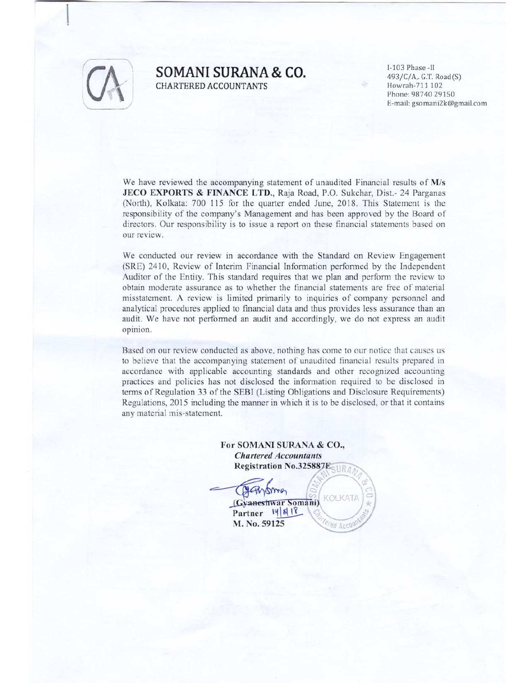

#### **SOMANI SURANA & CO.** 1-103 Phase -II 493/C/A, G.T. Road(S) CHARTERED ACCOUNTANTS CHARTERED ACCOUNTANTS

Phone: 98740 29150 li-mail: gsomani2k@gmail.com

We have reviewed the accompanying statement of unaudited Financial results of M/s JECO EXPORTS & FINANCE LTD., Raja Road. P.O. Sukchar, Dist.- <sup>24</sup> Parganas (North), Kolkata: 700 <sup>115</sup> for the quarter ended June, 2018. This Statement is the responsibility of the company's Management and has been approved by the Board of directors. Our responsibility is to issue <sup>a</sup> report on these financial statements based on our review.

We conducted our review in accordance with the Standard on Review Engagement (SRE) 2410. Review of Interim Financial Information performed by the Independent Auditor of the Entity. This standard requires that we plan and perform the review to obtain moderate assurance as to whether the financial statements are free of material misstatement. A review is limited primarily to inquiries of company personnel and analytical procedures applied to financial data and thus provides less assurance than an audit. We have not performed an audit and accordingly, we do not express an audit opinion.

Based on our review conducted as above. nothing has come to our notice that causes us to believe that the accompanying statement of unaudited financial results prepared in accordance with applicable accounting standards and other recognized accounting practices and policies has not disclosed the information required to be disclosed in terms of Regulation <sup>33</sup> of the SEBI (Listing Obligations and Disclosure Requirements) Regulations. 2015 including the manner in which it is to be disclosed, or that it contains any material mis-statement.

> For SOMANI SURANA & C0., Chartered Accountants Registration No.325887E

/. mo KOLKATA (Gyaneshwar Somani) Partner 14 8 18 M. No. 59125ed Acco